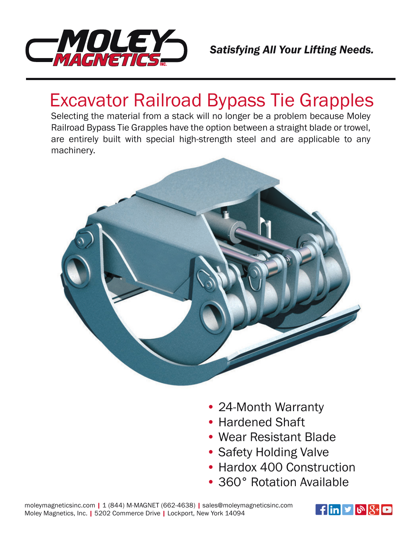

## Excavator Railroad Bypass Tie Grapples

Selecting the material from a stack will no longer be a problem because Moley Railroad Bypass Tie Grapples have the option between a straight blade or trowel, are entirely built with special high-strength steel and are applicable to any machinery.



- 24-Month Warranty
- Hardened Shaft
- Wear Resistant Blade
- Safety Holding Valve
- Hardox 400 Construction
- 360° Rotation Available